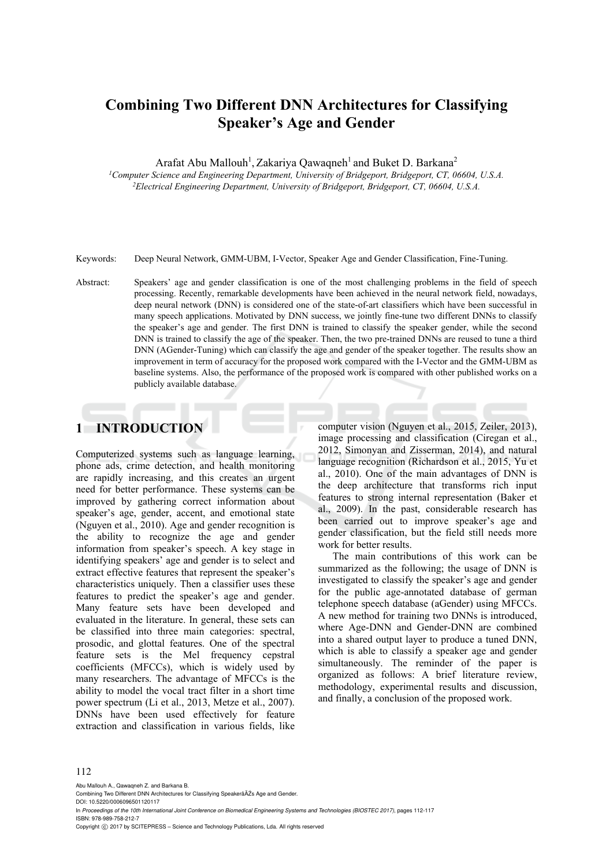# **Combining Two Different DNN Architectures for Classifying Speaker's Age and Gender**

Arafat Abu Mallouh<sup>1</sup>, Zakariya Qawaqneh<sup>1</sup> and Buket D. Barkana<sup>2</sup>

*1Computer Science and Engineering Department, University of Bridgeport, Bridgeport, CT, 06604, U.S.A. 2Electrical Engineering Department, University of Bridgeport, Bridgeport, CT, 06604, U.S.A.* 

Keywords: Deep Neural Network, GMM-UBM, I-Vector, Speaker Age and Gender Classification, Fine-Tuning.

Abstract: Speakers' age and gender classification is one of the most challenging problems in the field of speech processing. Recently, remarkable developments have been achieved in the neural network field, nowadays, deep neural network (DNN) is considered one of the state-of-art classifiers which have been successful in many speech applications. Motivated by DNN success, we jointly fine-tune two different DNNs to classify the speaker's age and gender. The first DNN is trained to classify the speaker gender, while the second DNN is trained to classify the age of the speaker. Then, the two pre-trained DNNs are reused to tune a third DNN (AGender-Tuning) which can classify the age and gender of the speaker together. The results show an improvement in term of accuracy for the proposed work compared with the I-Vector and the GMM-UBM as baseline systems. Also, the performance of the proposed work is compared with other published works on a publicly available database.

# **1 INTRODUCTION**

Computerized systems such as language learning, phone ads, crime detection, and health monitoring are rapidly increasing, and this creates an urgent need for better performance. These systems can be improved by gathering correct information about speaker's age, gender, accent, and emotional state (Nguyen et al., 2010). Age and gender recognition is the ability to recognize the age and gender information from speaker's speech. A key stage in identifying speakers' age and gender is to select and extract effective features that represent the speaker's characteristics uniquely. Then a classifier uses these features to predict the speaker's age and gender. Many feature sets have been developed and evaluated in the literature. In general, these sets can be classified into three main categories: spectral, prosodic, and glottal features. One of the spectral feature sets is the Mel frequency cepstral coefficients (MFCCs), which is widely used by many researchers. The advantage of MFCCs is the ability to model the vocal tract filter in a short time power spectrum (Li et al., 2013, Metze et al., 2007). DNNs have been used effectively for feature extraction and classification in various fields, like

computer vision (Nguyen et al., 2015, Zeiler, 2013), image processing and classification (Ciregan et al., 2012, Simonyan and Zisserman, 2014), and natural language recognition (Richardson et al., 2015, Yu et al., 2010). One of the main advantages of DNN is the deep architecture that transforms rich input features to strong internal representation (Baker et al., 2009). In the past, considerable research has been carried out to improve speaker's age and gender classification, but the field still needs more work for better results.

The main contributions of this work can be summarized as the following; the usage of DNN is investigated to classify the speaker's age and gender for the public age-annotated database of german telephone speech database (aGender) using MFCCs. A new method for training two DNNs is introduced, where Age-DNN and Gender-DNN are combined into a shared output layer to produce a tuned DNN, which is able to classify a speaker age and gender simultaneously. The reminder of the paper is organized as follows: A brief literature review, methodology, experimental results and discussion, and finally, a conclusion of the proposed work.

#### 112

Abu Mallouh A., Qawaqneh Z. and Barkana B.

In *Proceedings of the 10th International Joint Conference on Biomedical Engineering Systems and Technologies (BIOSTEC 2017)*, pages 112-117 ISBN: 978-989-758-212-7

Copyright (C) 2017 by SCITEPRESS - Science and Technology Publications, Lda. All rights reserved

Combining Two Different DNN Architectures for Classifying SpeakerâÄŹs Age and Gender. DOI: 10.5220/0006096501120117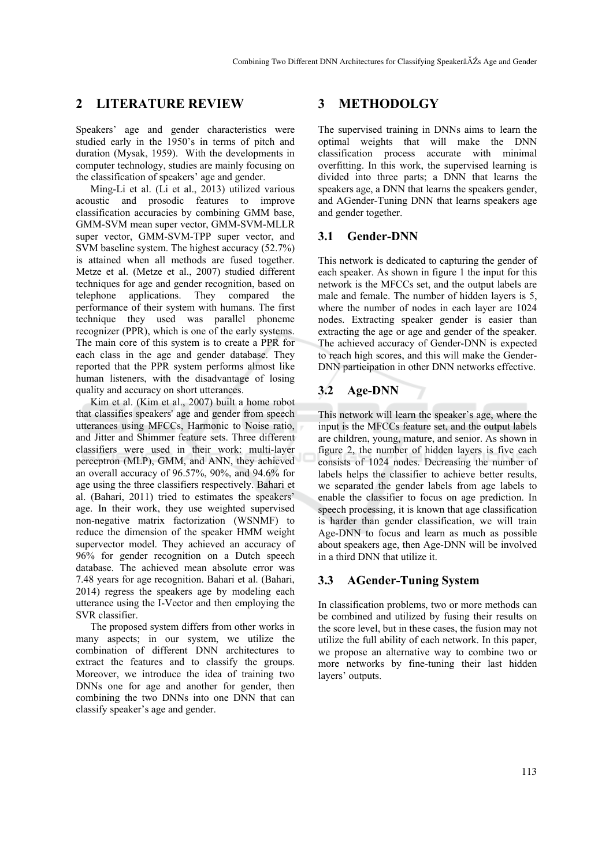## **2 LITERATURE REVIEW**

Speakers' age and gender characteristics were studied early in the 1950's in terms of pitch and duration (Mysak, 1959). With the developments in computer technology, studies are mainly focusing on the classification of speakers' age and gender.

Ming-Li et al. (Li et al., 2013) utilized various acoustic and prosodic features to improve classification accuracies by combining GMM base, GMM-SVM mean super vector, GMM-SVM-MLLR super vector, GMM-SVM-TPP super vector, and SVM baseline system. The highest accuracy (52.7%) is attained when all methods are fused together. Metze et al. (Metze et al., 2007) studied different techniques for age and gender recognition, based on telephone applications. They compared the performance of their system with humans. The first technique they used was parallel phoneme recognizer (PPR), which is one of the early systems. The main core of this system is to create a PPR for each class in the age and gender database. They reported that the PPR system performs almost like human listeners, with the disadvantage of losing quality and accuracy on short utterances.

Kim et al. (Kim et al., 2007) built a home robot that classifies speakers' age and gender from speech utterances using MFCCs, Harmonic to Noise ratio, and Jitter and Shimmer feature sets. Three different classifiers were used in their work: multi-layer perceptron (MLP), GMM, and ANN, they achieved an overall accuracy of 96.57%, 90%, and 94.6% for age using the three classifiers respectively. Bahari et al. (Bahari, 2011) tried to estimates the speakers' age. In their work, they use weighted supervised non-negative matrix factorization (WSNMF) to reduce the dimension of the speaker HMM weight supervector model. They achieved an accuracy of 96% for gender recognition on a Dutch speech database. The achieved mean absolute error was 7.48 years for age recognition. Bahari et al. (Bahari, 2014) regress the speakers age by modeling each utterance using the I-Vector and then employing the SVR classifier.

The proposed system differs from other works in many aspects; in our system, we utilize the combination of different DNN architectures to extract the features and to classify the groups. Moreover, we introduce the idea of training two DNNs one for age and another for gender, then combining the two DNNs into one DNN that can classify speaker's age and gender.

## **3 METHODOLGY**

The supervised training in DNNs aims to learn the optimal weights that will make the DNN classification process accurate with minimal overfitting. In this work, the supervised learning is divided into three parts; a DNN that learns the speakers age, a DNN that learns the speakers gender, and AGender-Tuning DNN that learns speakers age and gender together.

## **3.1 Gender-DNN**

This network is dedicated to capturing the gender of each speaker. As shown in figure 1 the input for this network is the MFCCs set, and the output labels are male and female. The number of hidden layers is 5, where the number of nodes in each layer are 1024 nodes. Extracting speaker gender is easier than extracting the age or age and gender of the speaker. The achieved accuracy of Gender-DNN is expected to reach high scores, and this will make the Gender-DNN participation in other DNN networks effective.

## **3.2 Age-DNN**

This network will learn the speaker's age, where the input is the MFCCs feature set, and the output labels are children, young, mature, and senior. As shown in figure 2, the number of hidden layers is five each consists of 1024 nodes. Decreasing the number of labels helps the classifier to achieve better results, we separated the gender labels from age labels to enable the classifier to focus on age prediction. In speech processing, it is known that age classification is harder than gender classification, we will train Age-DNN to focus and learn as much as possible about speakers age, then Age-DNN will be involved in a third DNN that utilize it.

## **3.3 AGender-Tuning System**

In classification problems, two or more methods can be combined and utilized by fusing their results on the score level, but in these cases, the fusion may not utilize the full ability of each network. In this paper, we propose an alternative way to combine two or more networks by fine-tuning their last hidden layers' outputs.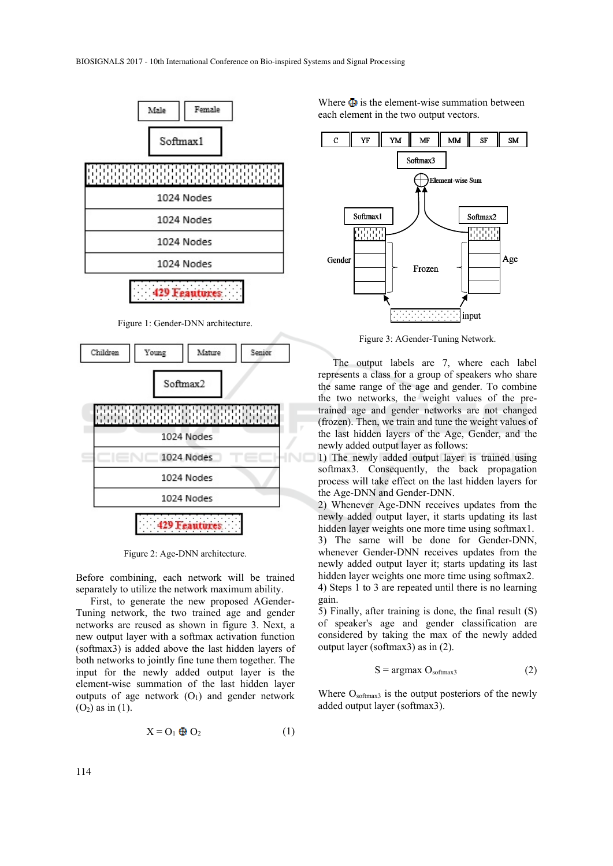

Figure 1: Gender-DNN architecture.



Figure 2: Age-DNN architecture.

Before combining, each network will be trained separately to utilize the network maximum ability.

First, to generate the new proposed AGender-Tuning network, the two trained age and gender networks are reused as shown in figure 3. Next, a new output layer with a softmax activation function (softmax3) is added above the last hidden layers of both networks to jointly fine tune them together. The input for the newly added output layer is the element-wise summation of the last hidden layer outputs of age network  $(O_1)$  and gender network  $(O_2)$  as in  $(1)$ .

$$
X = O_1 \oplus O_2 \tag{1}
$$

Where  $\bigoplus$  is the element-wise summation between each element in the two output vectors.



Figure 3: AGender-Tuning Network.

The output labels are 7, where each label represents a class for a group of speakers who share the same range of the age and gender. To combine the two networks, the weight values of the pretrained age and gender networks are not changed (frozen). Then, we train and tune the weight values of the last hidden layers of the Age, Gender, and the newly added output layer as follows:

1) The newly added output layer is trained using softmax3. Consequently, the back propagation process will take effect on the last hidden layers for the Age-DNN and Gender-DNN.

2) Whenever Age-DNN receives updates from the newly added output layer, it starts updating its last hidden layer weights one more time using softmax1.

3) The same will be done for Gender-DNN, whenever Gender-DNN receives updates from the newly added output layer it; starts updating its last hidden layer weights one more time using softmax2. 4) Steps 1 to 3 are repeated until there is no learning gain.

5) Finally, after training is done, the final result (S) of speaker's age and gender classification are considered by taking the max of the newly added output layer (softmax3) as in (2).

$$
S = \underset{3}{\text{argmax}} O_{\text{softmax}3} \tag{2}
$$

Where Osoftmax<sub>3</sub> is the output posteriors of the newly added output layer (softmax3).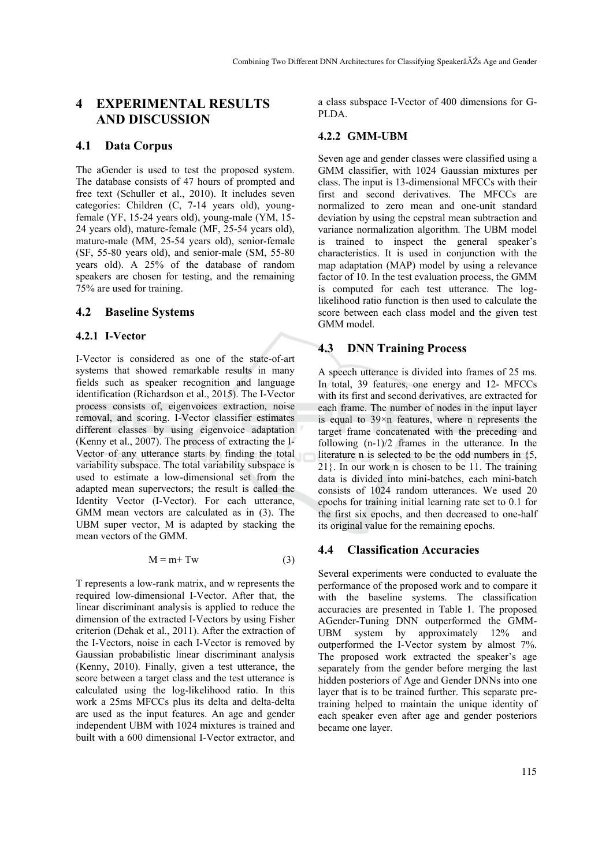## **4 EXPERIMENTAL RESULTS AND DISCUSSION**

#### **4.1 Data Corpus**

The aGender is used to test the proposed system. The database consists of 47 hours of prompted and free text (Schuller et al., 2010). It includes seven categories: Children (C, 7-14 years old), youngfemale (YF, 15-24 years old), young-male (YM, 15- 24 years old), mature-female (MF, 25-54 years old), mature-male (MM, 25-54 years old), senior-female (SF, 55-80 years old), and senior-male (SM, 55-80 years old). A 25% of the database of random speakers are chosen for testing, and the remaining 75% are used for training.

### **4.2 Baseline Systems**

### **4.2.1 I-Vector**

I-Vector is considered as one of the state-of-art systems that showed remarkable results in many fields such as speaker recognition and language identification (Richardson et al., 2015). The I-Vector process consists of, eigenvoices extraction, noise removal, and scoring. I-Vector classifier estimates different classes by using eigenvoice adaptation (Kenny et al., 2007). The process of extracting the I-Vector of any utterance starts by finding the total variability subspace. The total variability subspace is used to estimate a low-dimensional set from the adapted mean supervectors; the result is called the Identity Vector (I-Vector). For each utterance, GMM mean vectors are calculated as in (3). The UBM super vector, M is adapted by stacking the mean vectors of the GMM.

$$
M = m + Tw
$$
 (3)

T represents a low-rank matrix, and w represents the required low-dimensional I-Vector. After that, the linear discriminant analysis is applied to reduce the dimension of the extracted I-Vectors by using Fisher criterion (Dehak et al., 2011). After the extraction of the I-Vectors, noise in each I-Vector is removed by Gaussian probabilistic linear discriminant analysis (Kenny, 2010). Finally, given a test utterance, the score between a target class and the test utterance is calculated using the log-likelihood ratio. In this work a 25ms MFCCs plus its delta and delta-delta are used as the input features. An age and gender independent UBM with 1024 mixtures is trained and built with a 600 dimensional I-Vector extractor, and

a class subspace I-Vector of 400 dimensions for G-PLDA.

#### **4.2.2 GMM-UBM**

Seven age and gender classes were classified using a GMM classifier, with 1024 Gaussian mixtures per class. The input is 13-dimensional MFCCs with their first and second derivatives. The MFCCs are normalized to zero mean and one-unit standard deviation by using the cepstral mean subtraction and variance normalization algorithm. The UBM model is trained to inspect the general speaker's characteristics. It is used in conjunction with the map adaptation (MAP) model by using a relevance factor of 10. In the test evaluation process, the GMM is computed for each test utterance. The loglikelihood ratio function is then used to calculate the score between each class model and the given test GMM model.

### **4.3 DNN Training Process**

A speech utterance is divided into frames of 25 ms. In total, 39 features, one energy and 12- MFCCs with its first and second derivatives, are extracted for each frame. The number of nodes in the input layer is equal to 39×n features, where n represents the target frame concatenated with the preceding and following (n-1)/2 frames in the utterance. In the literature n is selected to be the odd numbers in {5, 21}. In our work n is chosen to be 11. The training data is divided into mini-batches, each mini-batch consists of 1024 random utterances. We used 20 epochs for training initial learning rate set to 0.1 for the first six epochs, and then decreased to one-half its original value for the remaining epochs.

### **4.4 Classification Accuracies**

Several experiments were conducted to evaluate the performance of the proposed work and to compare it with the baseline systems. The classification accuracies are presented in Table 1. The proposed AGender-Tuning DNN outperformed the GMM-UBM system by approximately 12% and outperformed the I-Vector system by almost 7%. The proposed work extracted the speaker's age separately from the gender before merging the last hidden posteriors of Age and Gender DNNs into one layer that is to be trained further. This separate pretraining helped to maintain the unique identity of each speaker even after age and gender posteriors became one layer.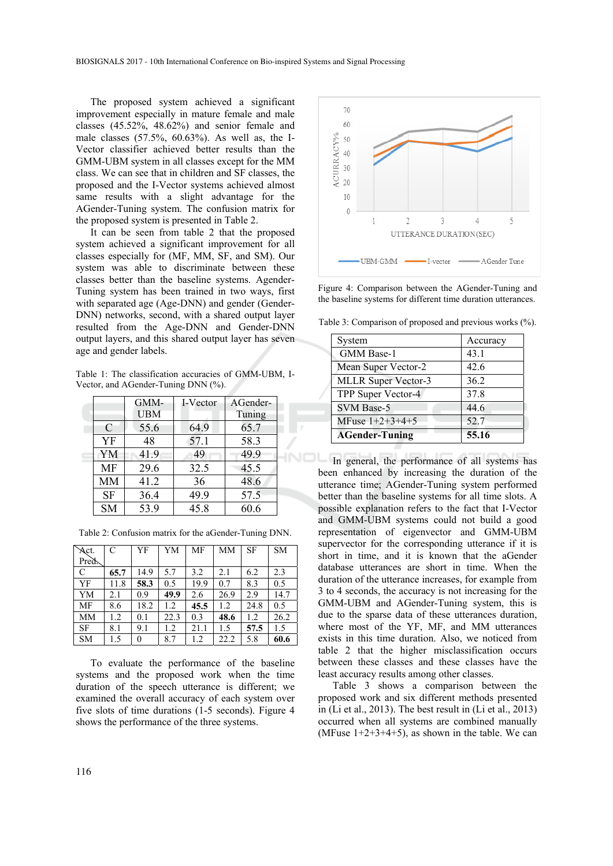The proposed system achieved a significant improvement especially in mature female and male classes (45.52%, 48.62%) and senior female and male classes (57.5%, 60.63%). As well as, the I-Vector classifier achieved better results than the GMM-UBM system in all classes except for the MM class. We can see that in children and SF classes, the proposed and the I-Vector systems achieved almost same results with a slight advantage for the AGender-Tuning system. The confusion matrix for the proposed system is presented in Table 2.

It can be seen from table 2 that the proposed system achieved a significant improvement for all classes especially for (MF, MM, SF, and SM). Our system was able to discriminate between these classes better than the baseline systems. Agender-Tuning system has been trained in two ways, first with separated age (Age-DNN) and gender (Gender-DNN) networks, second, with a shared output layer resulted from the Age-DNN and Gender-DNN output layers, and this shared output layer has seven age and gender labels.

Table 1: The classification accuracies of GMM-UBM, I-Vector, and AGender-Tuning DNN (%).

|               | GMM-       | I-Vector | AGender-          |
|---------------|------------|----------|-------------------|
|               | <b>UBM</b> |          | Tuning            |
| $\mathcal{C}$ | 55.6       | 64.9     | 65.7              |
| YF            | 48         | 57.1     | 58.3              |
| YM            | 41.9       | 49       | 49.9              |
| <b>MF</b>     | 29.6       | 32.5     | 45.5              |
| <b>MM</b>     | 41.2       | 36       | 48.6              |
| <b>SF</b>     | 36.4       | 49.9     | $57.\overline{5}$ |
| <b>SM</b>     | 53.9       | 45.8     | 60.6              |

Table 2: Confusion matrix for the aGender-Tuning DNN.

| $\overline{\text{Act}}$ . | $\mathcal{C}$ | YF       | YM   | <b>MF</b> | MM   | <b>SF</b> | <b>SM</b> |
|---------------------------|---------------|----------|------|-----------|------|-----------|-----------|
| Pred.                     |               |          |      |           |      |           |           |
| C                         | 65.7          | 14.9     | 5.7  | 3.2       | 2.1  | 6.2       | 2.3       |
| YF                        | 11.8          | 58.3     | 0.5  | 19.9      | 0.7  | 8.3       | 0.5       |
| YM                        | 2.1           | 0.9      | 49.9 | 2.6       | 26.9 | 2.9       | 14.7      |
| MF                        | 8.6           | 18.2     | 1.2  | 45.5      | 1.2  | 24.8      | 0.5       |
| <b>MM</b>                 | 1.2           | 0.1      | 22.3 | 0.3       | 48.6 | 1.2       | 26.2      |
| <b>SF</b>                 | 8.1           | 9.1      | 1.2  | 21.1      | 1.5  | 57.5      | 1.5       |
| <b>SM</b>                 | 1.5           | $\theta$ | 8.7  | 1.2       | 22.2 | 5.8       | 60.6      |

To evaluate the performance of the baseline systems and the proposed work when the time duration of the speech utterance is different; we examined the overall accuracy of each system over five slots of time durations (1-5 seconds). Figure 4 shows the performance of the three systems.



Figure 4: Comparison between the AGender-Tuning and the baseline systems for different time duration utterances.

Table 3: Comparison of proposed and previous works (%).

| System                     | Accuracy |
|----------------------------|----------|
| GMM Base-1                 | 43.1     |
| Mean Super Vector-2        | 42.6     |
| <b>MLLR Super Vector-3</b> | 36.2     |
| TPP Super Vector-4         | 37.8     |
| <b>SVM Base-5</b>          | 44.6     |
| MFuse $1+2+3+4+5$          | 52.7     |
| <b>AGender-Tuning</b>      | 55.16    |

In general, the performance of all systems has been enhanced by increasing the duration of the utterance time; AGender-Tuning system performed better than the baseline systems for all time slots. A possible explanation refers to the fact that I-Vector and GMM-UBM systems could not build a good representation of eigenvector and GMM-UBM supervector for the corresponding utterance if it is short in time, and it is known that the aGender database utterances are short in time. When the duration of the utterance increases, for example from 3 to 4 seconds, the accuracy is not increasing for the GMM-UBM and AGender-Tuning system, this is due to the sparse data of these utterances duration, where most of the YF, MF, and MM utterances exists in this time duration. Also, we noticed from table 2 that the higher misclassification occurs between these classes and these classes have the least accuracy results among other classes.

Table 3 shows a comparison between the proposed work and six different methods presented in (Li et al., 2013). The best result in (Li et al., 2013) occurred when all systems are combined manually (MFuse  $1+2+3+4+5$ ), as shown in the table. We can